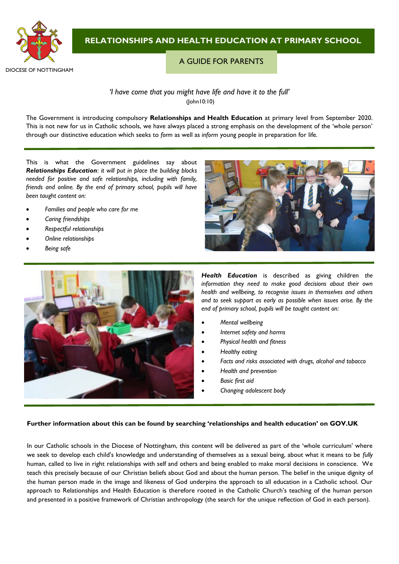

# **RELATIONSHIPS AND HEALTH EDUCATION AT PRIMARY SCHOOL**

## A GUIDE FOR PARENTS

## *'I have come that you might have life and have it to the full'* (John10:10)

The Government is introducing compulsory **Relationships and Health Education** at primary level from September 2020. This is not new for us in Catholic schools, we have always placed a strong emphasis on the development of the 'whole person' through our distinctive education which seeks to *form* as well as *inform* young people in preparation for life.

This is what the Government guidelines say about *Relationships Education*: *it will put in place the building blocks needed for positive and safe relationships, including with family, friends and online. By the end of primary school, pupils will have been taught content on:*

- *Families and people who care for me*
- *Caring friendships*
- *Respectful relationships*
- *Online relationships*
- *Being safe*



*Health Education* is described as giving children *the information they need to make good decisions about their own health and wellbeing, to recognise issues in themselves and others and to seek support as early as possible when issues arise. By the end of primary school, pupils will be taught content on:*

- *Mental wellbeing*
- *Internet safety and harms*
- *Physical health and fitness*
- *Healthy eating*
- *Facts and risks associated with drugs, alcohol and tobacco*
- *Health and prevention*
- *Basic first aid*
- *Changing adolescent body*

#### **Further information about this can be found by searching 'relationships and health education' on GOV.UK**

In our Catholic schools in the Diocese of Nottingham, this content will be delivered as part of the 'whole curriculum' where we seek to develop each child's knowledge and understanding of themselves as a sexual being, about what it means to be *fully* human, called to live in right relationships with self and others and being enabled to make moral decisions in conscience. We teach this precisely because of our Christian beliefs about God and about the human person. The belief in the unique dignity of the human person made in the image and likeness of God underpins the approach to all education in a Catholic school. Our approach to Relationships and Health Education is therefore rooted in the Catholic Church's teaching of the human person and presented in a positive framework of Christian anthropology (the search for the unique reflection of God in each person).